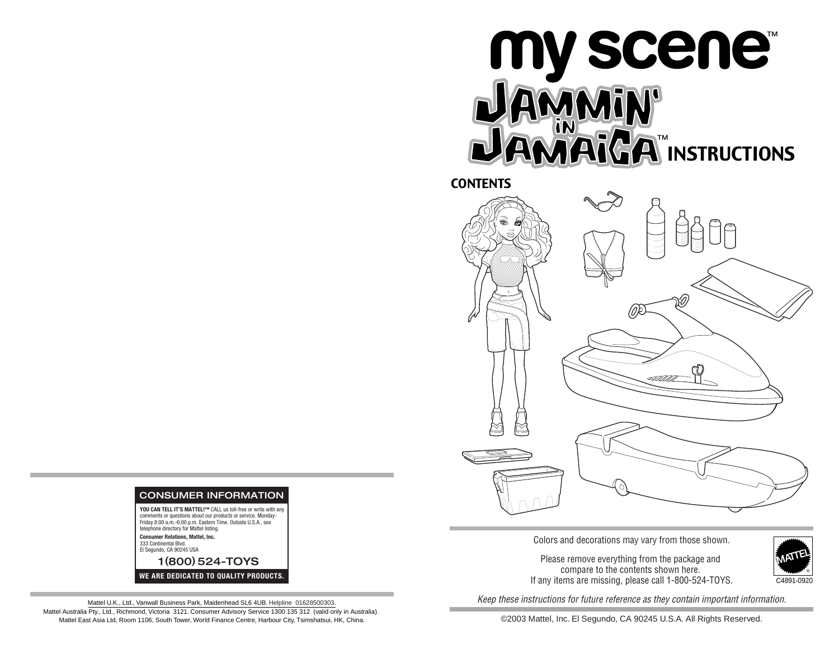## ™ INSTRUCTIONS ™

CONTENTS



Colors and decorations may vary from those shown.

Please remove everything from the package and compare to the contents shown here. If any items are missing, please call 1-800-524-TOYS.



Keep these instructions for future reference as they contain important information.

©2003 Mattel, Inc. El Segundo, CA 90245 U.S.A. All Rights Reserved.



**Consumer Relations, Mattel, Inc.**  333 Continental Blvd. El Segundo, CA 90245 USA

1 (800) 524-TOYS **WE ARE DEDICATED TO QUALITY PRODUCTS.**

Mattel U.K., Ltd., Vanwall Business Park, Maidenhead SL6 4UB. Helpline 01628500303. Mattel Australia Pty., Ltd., Richmond, Victoria 3121. Consumer Advisory Service 1300 135 312 (valid only in Australia). Mattel East Asia Ltd, Room 1106, South Tower, World Finance Centre, Harbour City, Tsimshatsui, HK, China.